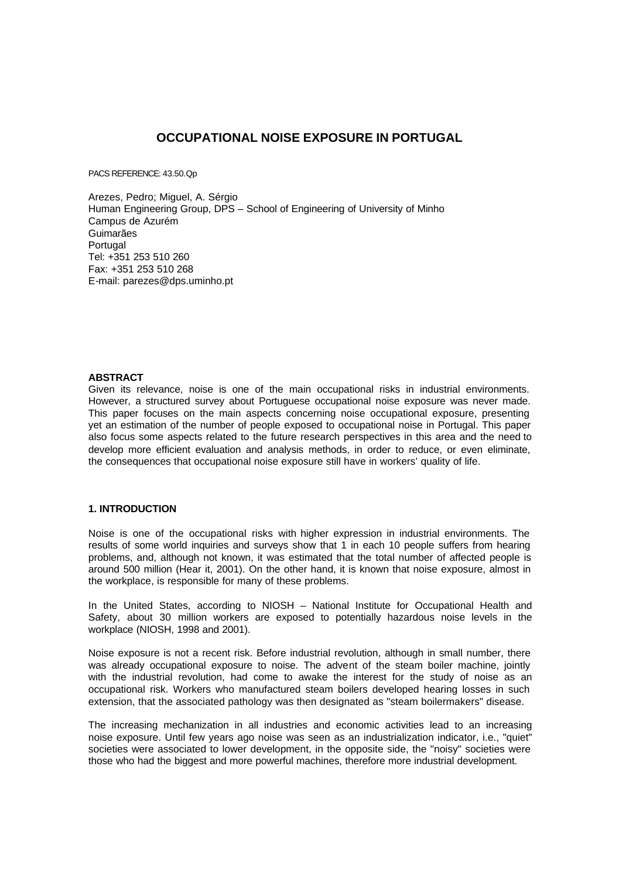# **OCCUPATIONAL NOISE EXPOSURE IN PORTUGAL**

PACS REFERENCE: 43.50.Qp

Arezes, Pedro; Miguel, A. Sérgio Human Engineering Group, DPS – School of Engineering of University of Minho Campus de Azurém Guimarães Portugal Tel: +351 253 510 260 Fax: +351 253 510 268 E-mail: parezes@dps.uminho.pt

#### **ABSTRACT**

Given its relevance, noise is one of the main occupational risks in industrial environments. However, a structured survey about Portuguese occupational noise exposure was never made. This paper focuses on the main aspects concerning noise occupational exposure, presenting yet an estimation of the number of people exposed to occupational noise in Portugal. This paper also focus some aspects related to the future research perspectives in this area and the need to develop more efficient evaluation and analysis methods, in order to reduce, or even eliminate, the consequences that occupational noise exposure still have in workers' quality of life.

## **1. INTRODUCTION**

Noise is one of the occupational risks with higher expression in industrial environments. The results of some world inquiries and surveys show that 1 in each 10 people suffers from hearing problems, and, although not known, it was estimated that the total number of affected people is around 500 million (Hear it, 2001). On the other hand, it is known that noise exposure, almost in the workplace, is responsible for many of these problems.

In the United States, according to NIOSH – National Institute for Occupational Health and Safety, about 30 million workers are exposed to potentially hazardous noise levels in the workplace (NIOSH, 1998 and 2001).

Noise exposure is not a recent risk. Before industrial revolution, although in small number, there was already occupational exposure to noise. The advent of the steam boiler machine, jointly with the industrial revolution, had come to awake the interest for the study of noise as an occupational risk. Workers who manufactured steam boilers developed hearing losses in such extension, that the associated pathology was then designated as "steam boilermakers" disease.

The increasing mechanization in all industries and economic activities lead to an increasing noise exposure. Until few years ago noise was seen as an industrialization indicator, i.e., "quiet" societies were associated to lower development, in the opposite side, the "noisy" societies were those who had the biggest and more powerful machines, therefore more industrial development.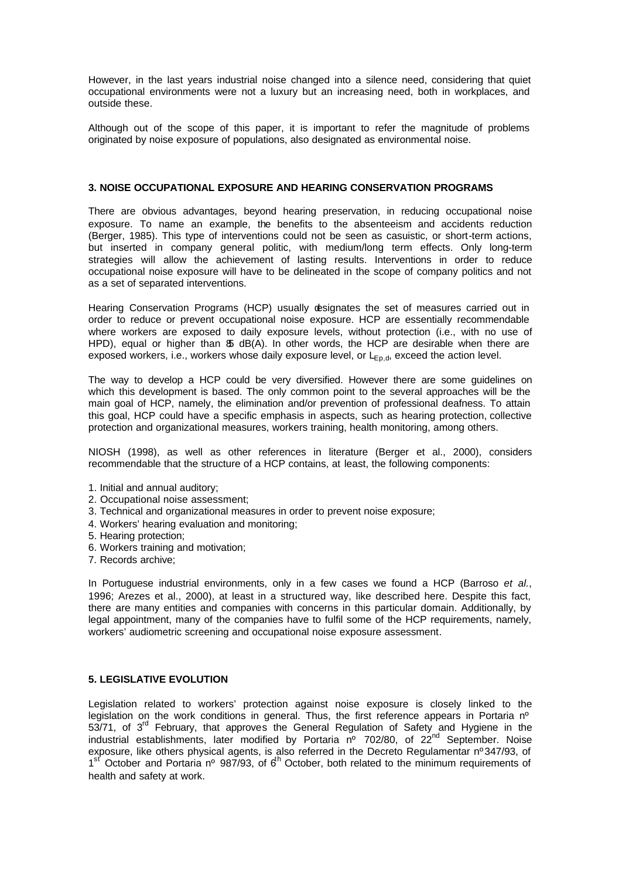However, in the last years industrial noise changed into a silence need, considering that quiet occupational environments were not a luxury but an increasing need, both in workplaces, and outside these.

Although out of the scope of this paper, it is important to refer the magnitude of problems originated by noise exposure of populations, also designated as environmental noise.

## **3. NOISE OCCUPATIONAL EXPOSURE AND HEARING CONSERVATION PROGRAMS**

There are obvious advantages, beyond hearing preservation, in reducing occupational noise exposure. To name an example, the benefits to the absenteeism and accidents reduction (Berger, 1985). This type of interventions could not be seen as casuistic, or short-term actions, but inserted in company general politic, with medium/long term effects. Only long-term strategies will allow the achievement of lasting results. Interventions in order to reduce occupational noise exposure will have to be delineated in the scope of company politics and not as a set of separated interventions.

Hearing Conservation Programs (HCP) usually designates the set of measures carried out in order to reduce or prevent occupational noise exposure. HCP are essentially recommendable where workers are exposed to daily exposure levels, without protection (i.e., with no use of HPD), equal or higher than  $\delta$  dB(A). In other words, the HCP are desirable when there are exposed workers, i.e., workers whose daily exposure level, or  $L_{E_0,d}$ , exceed the action level.

The way to develop a HCP could be very diversified. However there are some guidelines on which this development is based. The only common point to the several approaches will be the main goal of HCP, namely, the elimination and/or prevention of professional deafness. To attain this goal, HCP could have a specific emphasis in aspects, such as hearing protection, collective protection and organizational measures, workers training, health monitoring, among others.

NIOSH (1998), as well as other references in literature (Berger et al., 2000), considers recommendable that the structure of a HCP contains, at least, the following components:

- 1. Initial and annual auditory;
- 2. Occupational noise assessment;
- 3. Technical and organizational measures in order to prevent noise exposure;
- 4. Workers' hearing evaluation and monitoring;
- 5. Hearing protection;
- 6. Workers training and motivation;
- 7. Records archive;

In Portuguese industrial environments, only in a few cases we found a HCP (Barroso *et al.*, 1996; Arezes et al., 2000), at least in a structured way, like described here. Despite this fact, there are many entities and companies with concerns in this particular domain. Additionally, by legal appointment, many of the companies have to fulfil some of the HCP requirements, namely, workers' audiometric screening and occupational noise exposure assessment.

## **5. LEGISLATIVE EVOLUTION**

Legislation related to workers' protection against noise exposure is closely linked to the legislation on the work conditions in general. Thus, the first reference appears in Portaria nº 53/71, of 3<sup>rd</sup> February, that approves the General Regulation of Safety and Hygiene in the industrial establishments, later modified by Portaria  $n^{\circ}$  702/80, of 22<sup>nd</sup> September. Noise exposure, like others physical agents, is also referred in the Decreto Regulamentar nº347/93, of 1<sup>st</sup> October and Portaria nº 987/93, of 6<sup>th</sup> October, both related to the minimum requirements of health and safety at work.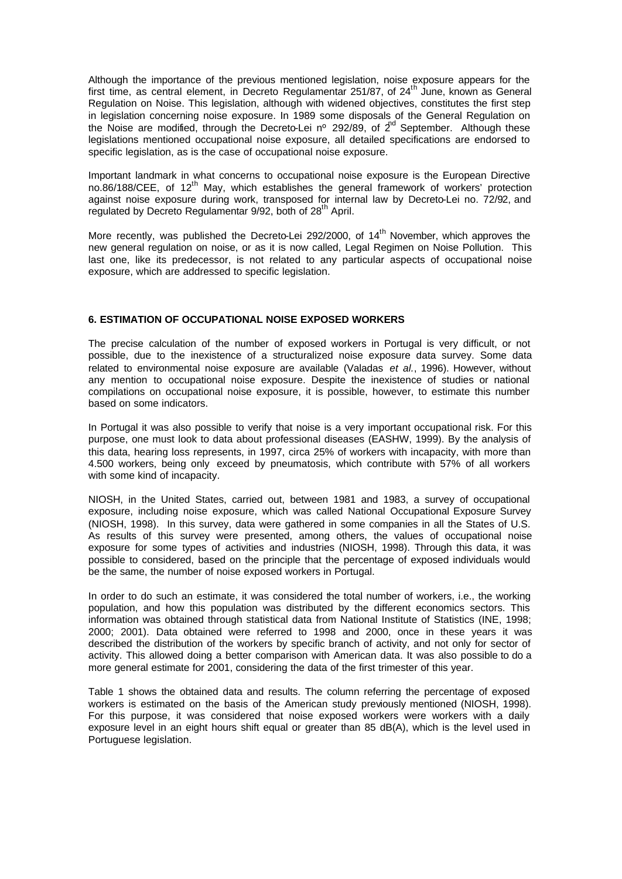Although the importance of the previous mentioned legislation, noise exposure appears for the first time, as central element, in Decreto Regulamentar 251/87, of  $24<sup>th</sup>$  June, known as General Regulation on Noise. This legislation, although with widened objectives, constitutes the first step in legislation concerning noise exposure. In 1989 some disposals of the General Regulation on the Noise are modified, through the Decreto-Lei nº 292/89, of  $2^{nd}$  September. Although these legislations mentioned occupational noise exposure, all detailed specifications are endorsed to specific legislation, as is the case of occupational noise exposure.

Important landmark in what concerns to occupational noise exposure is the European Directive no.86/188/CEE, of 12<sup>th</sup> May, which establishes the general framework of workers' protection against noise exposure during work, transposed for internal law by Decreto-Lei no. 72/92, and regulated by Decreto Regulamentar 9/92, both of 28<sup>th</sup> April.

More recently, was published the Decreto-Lei 292/2000, of 14<sup>th</sup> November, which approves the new general regulation on noise, or as it is now called, Legal Regimen on Noise Pollution. This last one, like its predecessor, is not related to any particular aspects of occupational noise exposure, which are addressed to specific legislation.

## **6. ESTIMATION OF OCCUPATIONAL NOISE EXPOSED WORKERS**

The precise calculation of the number of exposed workers in Portugal is very difficult, or not possible, due to the inexistence of a structuralized noise exposure data survey. Some data related to environmental noise exposure are available (Valadas *et al.*, 1996). However, without any mention to occupational noise exposure. Despite the inexistence of studies or national compilations on occupational noise exposure, it is possible, however, to estimate this number based on some indicators.

In Portugal it was also possible to verify that noise is a very important occupational risk. For this purpose, one must look to data about professional diseases (EASHW, 1999). By the analysis of this data, hearing loss represents, in 1997, circa 25% of workers with incapacity, with more than 4.500 workers, being only exceed by pneumatosis, which contribute with 57% of all workers with some kind of incapacity.

NIOSH, in the United States, carried out, between 1981 and 1983, a survey of occupational exposure, including noise exposure, which was called National Occupational Exposure Survey (NIOSH, 1998). In this survey, data were gathered in some companies in all the States of U.S. As results of this survey were presented, among others, the values of occupational noise exposure for some types of activities and industries (NIOSH, 1998). Through this data, it was possible to considered, based on the principle that the percentage of exposed individuals would be the same, the number of noise exposed workers in Portugal.

In order to do such an estimate, it was considered the total number of workers, i.e., the working population, and how this population was distributed by the different economics sectors. This information was obtained through statistical data from National Institute of Statistics (INE, 1998; 2000; 2001). Data obtained were referred to 1998 and 2000, once in these years it was described the distribution of the workers by specific branch of activity, and not only for sector of activity. This allowed doing a better comparison with American data. It was also possible to do a more general estimate for 2001, considering the data of the first trimester of this year.

Table 1 shows the obtained data and results. The column referring the percentage of exposed workers is estimated on the basis of the American study previously mentioned (NIOSH, 1998). For this purpose, it was considered that noise exposed workers were workers with a daily exposure level in an eight hours shift equal or greater than 85 dB(A), which is the level used in Portuguese legislation.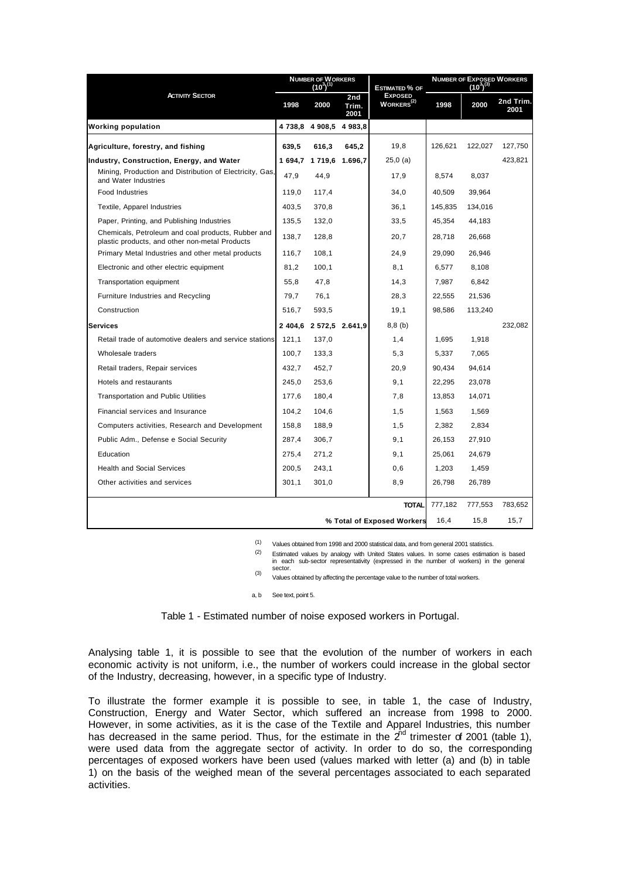| <b>ACTIVITY SECTOR</b>                                                                               | NUMBER OF WORKERS $(10^3)^{(1)}$ |                         |                      | Estimated % of                           | NUMBER OF EXPOSED WORKERS $(10^3)^{(3)}$ |         |                   |
|------------------------------------------------------------------------------------------------------|----------------------------------|-------------------------|----------------------|------------------------------------------|------------------------------------------|---------|-------------------|
|                                                                                                      | 1998                             | 2000                    | 2nd<br>Trim.<br>2001 | <b>EXPOSED</b><br>WORKERS <sup>(2)</sup> | 1998                                     | 2000    | 2nd Trim.<br>2001 |
| <b>Working population</b>                                                                            |                                  | 4 738,8 4 908,5         | 4 983.8              |                                          |                                          |         |                   |
| Agriculture, forestry, and fishing                                                                   | 639.5                            | 616,3                   | 645,2                | 19,8                                     | 126,621                                  | 122,027 | 127,750           |
| Industry, Construction, Energy, and Water                                                            |                                  | 1 694,7 1 719,6 1.696,7 |                      | $25,0$ (a)                               |                                          |         | 423,821           |
| Mining, Production and Distribution of Electricity, Gas,<br>and Water Industries                     | 47,9                             | 44,9                    |                      | 17,9                                     | 8,574                                    | 8,037   |                   |
| <b>Food Industries</b>                                                                               | 119,0                            | 117.4                   |                      | 34,0                                     | 40,509                                   | 39,964  |                   |
| Textile, Apparel Industries                                                                          | 403.5                            | 370.8                   |                      | 36.1                                     | 145.835                                  | 134,016 |                   |
| Paper, Printing, and Publishing Industries                                                           | 135,5                            | 132,0                   |                      | 33,5                                     | 45,354                                   | 44,183  |                   |
| Chemicals, Petroleum and coal products, Rubber and<br>plastic products, and other non-metal Products | 138.7                            | 128.8                   |                      | 20.7                                     | 28.718                                   | 26.668  |                   |
| Primary Metal Industries and other metal products                                                    | 116,7                            | 108.1                   |                      | 24,9                                     | 29.090                                   | 26,946  |                   |
| Electronic and other electric equipment                                                              | 81,2                             | 100,1                   |                      | 8,1                                      | 6,577                                    | 8,108   |                   |
| Transportation equipment                                                                             | 55,8                             | 47,8                    |                      | 14,3                                     | 7,987                                    | 6,842   |                   |
| Furniture Industries and Recycling                                                                   | 79,7                             | 76,1                    |                      | 28,3                                     | 22,555                                   | 21,536  |                   |
| Construction                                                                                         | 516,7                            | 593,5                   |                      | 19,1                                     | 98,586                                   | 113,240 |                   |
| <b>Services</b>                                                                                      |                                  | 2 404,6 2 572,5 2.641,9 |                      | $8,8$ (b)                                |                                          |         | 232,082           |
| Retail trade of automotive dealers and service stations                                              | 121,1                            | 137,0                   |                      | 1,4                                      | 1,695                                    | 1,918   |                   |
| Wholesale traders                                                                                    | 100.7                            | 133,3                   |                      | 5,3                                      | 5,337                                    | 7.065   |                   |
| Retail traders, Repair services                                                                      | 432.7                            | 452.7                   |                      | 20.9                                     | 90.434                                   | 94,614  |                   |
| Hotels and restaurants                                                                               | 245.0                            | 253.6                   |                      | 9,1                                      | 22.295                                   | 23.078  |                   |
| <b>Transportation and Public Utilities</b>                                                           | 177,6                            | 180,4                   |                      | 7,8                                      | 13,853                                   | 14,071  |                   |
| Financial services and Insurance                                                                     | 104,2                            | 104,6                   |                      | 1,5                                      | 1,563                                    | 1,569   |                   |
| Computers activities, Research and Development                                                       | 158,8                            | 188,9                   |                      | 1,5                                      | 2,382                                    | 2,834   |                   |
| Public Adm., Defense e Social Security                                                               | 287,4                            | 306,7                   |                      | 9,1                                      | 26,153                                   | 27,910  |                   |
| Education                                                                                            | 275,4                            | 271,2                   |                      | 9,1                                      | 25,061                                   | 24,679  |                   |
| <b>Health and Social Services</b>                                                                    | 200,5                            | 243,1                   |                      | 0,6                                      | 1,203                                    | 1,459   |                   |
| Other activities and services                                                                        | 301,1                            | 301,0                   |                      | 8,9                                      | 26,798                                   | 26,789  |                   |
|                                                                                                      |                                  |                         |                      | <b>TOTAL</b>                             | 777,182                                  | 777,553 | 783,652           |
| % Total of Exposed Workers                                                                           |                                  |                         |                      |                                          |                                          | 15,8    | 15,7              |

(1) Values obtained from 1998 and 2000 statistical data, and from general 2001 statistics.

(2) Estimated values by analogy with United States values. In some cases estimation is based in each sub-sector representativity (expressed in the number of workers) in the general sector.

(3) Values obtained by affecting the percentage value to the number of total workers.

a, b See text, point 5.

Table 1 - Estimated number of noise exposed workers in Portugal.

Analysing table 1, it is possible to see that the evolution of the number of workers in each economic activity is not uniform, i.e., the number of workers could increase in the global sector of the Industry, decreasing, however, in a specific type of Industry.

To illustrate the former example it is possible to see, in table 1, the case of Industry, Construction, Energy and Water Sector, which suffered an increase from 1998 to 2000. However, in some activities, as it is the case of the Textile and Apparel Industries, this number has decreased in the same period. Thus, for the estimate in the  $2^{nd}$  trimester of 2001 (table 1), were used data from the aggregate sector of activity. In order to do so, the corresponding percentages of exposed workers have been used (values marked with letter (a) and (b) in table 1) on the basis of the weighed mean of the several percentages associated to each separated activities.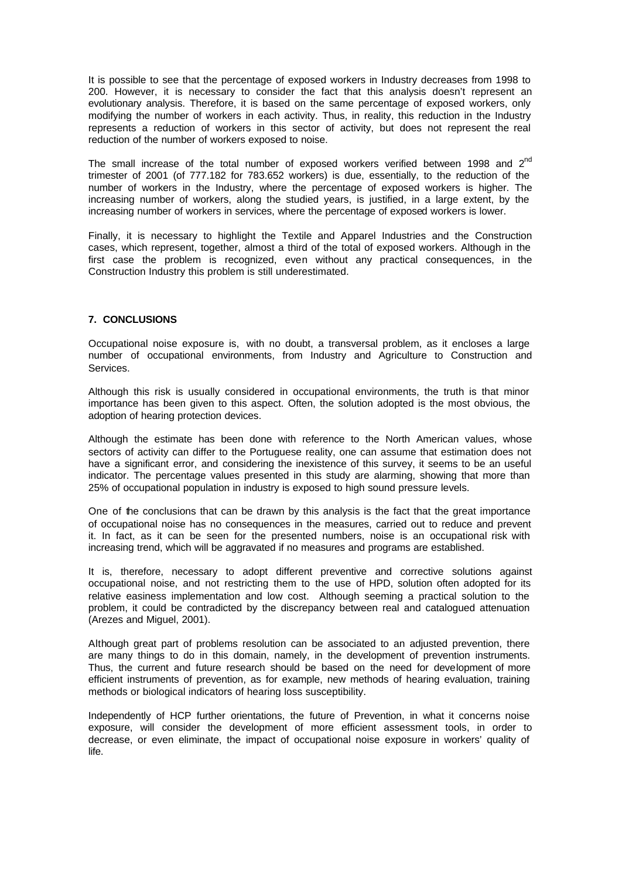It is possible to see that the percentage of exposed workers in Industry decreases from 1998 to 200. However, it is necessary to consider the fact that this analysis doesn't represent an evolutionary analysis. Therefore, it is based on the same percentage of exposed workers, only modifying the number of workers in each activity. Thus, in reality, this reduction in the Industry represents a reduction of workers in this sector of activity, but does not represent the real reduction of the number of workers exposed to noise.

The small increase of the total number of exposed workers verified between 1998 and  $2^{nd}$ trimester of 2001 (of 777.182 for 783.652 workers) is due, essentially, to the reduction of the number of workers in the Industry, where the percentage of exposed workers is higher. The increasing number of workers, along the studied years, is justified, in a large extent, by the increasing number of workers in services, where the percentage of exposed workers is lower.

Finally, it is necessary to highlight the Textile and Apparel Industries and the Construction cases, which represent, together, almost a third of the total of exposed workers. Although in the first case the problem is recognized, even without any practical consequences, in the Construction Industry this problem is still underestimated.

## **7. CONCLUSIONS**

Occupational noise exposure is, with no doubt, a transversal problem, as it encloses a large number of occupational environments, from Industry and Agriculture to Construction and Services.

Although this risk is usually considered in occupational environments, the truth is that minor importance has been given to this aspect. Often, the solution adopted is the most obvious, the adoption of hearing protection devices.

Although the estimate has been done with reference to the North American values, whose sectors of activity can differ to the Portuguese reality, one can assume that estimation does not have a significant error, and considering the inexistence of this survey, it seems to be an useful indicator. The percentage values presented in this study are alarming, showing that more than 25% of occupational population in industry is exposed to high sound pressure levels.

One of the conclusions that can be drawn by this analysis is the fact that the great importance of occupational noise has no consequences in the measures, carried out to reduce and prevent it. In fact, as it can be seen for the presented numbers, noise is an occupational risk with increasing trend, which will be aggravated if no measures and programs are established.

It is, therefore, necessary to adopt different preventive and corrective solutions against occupational noise, and not restricting them to the use of HPD, solution often adopted for its relative easiness implementation and low cost. Although seeming a practical solution to the problem, it could be contradicted by the discrepancy between real and catalogued attenuation (Arezes and Miguel, 2001).

Although great part of problems resolution can be associated to an adjusted prevention, there are many things to do in this domain, namely, in the development of prevention instruments. Thus, the current and future research should be based on the need for development of more efficient instruments of prevention, as for example, new methods of hearing evaluation, training methods or biological indicators of hearing loss susceptibility.

Independently of HCP further orientations, the future of Prevention, in what it concerns noise exposure, will consider the development of more efficient assessment tools, in order to decrease, or even eliminate, the impact of occupational noise exposure in workers' quality of life.